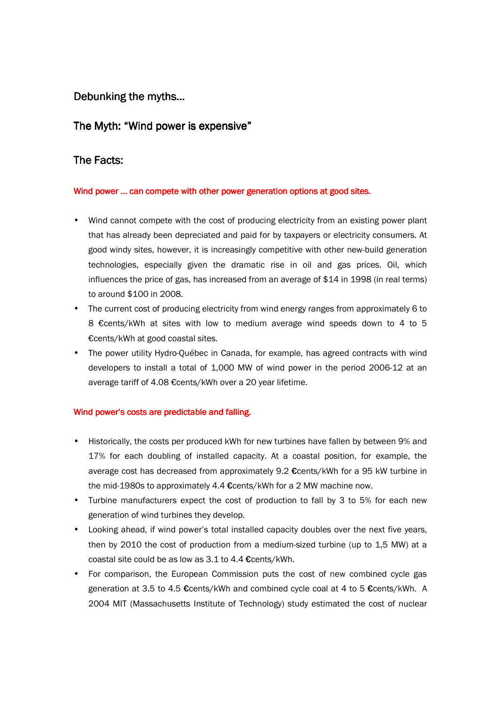# Debunking the myths...

## The Myth: "Wind power is expensive"

## The Facts:

#### Wind power ... can compete with other power generation options at good sites.

- Wind cannot compete with the cost of producing electricity from an existing power plant that has already been depreciated and paid for by taxpayers or electricity consumers. At good windy sites, however, it is increasingly competitive with other new-build generation technologies, especially given the dramatic rise in oil and gas prices. Oil, which influences the price of gas, has increased from an average of \$14 in 1998 (in real terms) to around \$100 in 2008.
- The current cost of producing electricity from wind energy ranges from approximately 6 to 8 €cents/kWh at sites with low to medium average wind speeds down to 4 to 5 €cents/kWh at good coastal sites.
- The power utility Hydro-Québec in Canada, for example, has agreed contracts with wind developers to install a total of 1,000 MW of wind power in the period 2006-12 at an average tariff of 4.08 €cents/kWh over a 20 year lifetime.

#### Wind power's costs are predictable and falling.

- Historically, the costs per produced kWh for new turbines have fallen by between 9% and 17% for each doubling of installed capacity. At a coastal position, for example, the average cost has decreased from approximately 9.2 €cents/kWh for a 95 kW turbine in the mid-1980s to approximately 4.4 €cents/kWh for a 2 MW machine now.
- Turbine manufacturers expect the cost of production to fall by 3 to 5% for each new generation of wind turbines they develop.
- Looking ahead, if wind power's total installed capacity doubles over the next five years, then by 2010 the cost of production from a medium-sized turbine (up to 1,5 MW) at a coastal site could be as low as 3.1 to 4.4 €cents/kWh.
- For comparison, the European Commission puts the cost of new combined cycle gas generation at 3.5 to 4.5 €cents/kWh and combined cycle coal at 4 to 5 €cents/kWh. A 2004 MIT (Massachusetts Institute of Technology) study estimated the cost of nuclear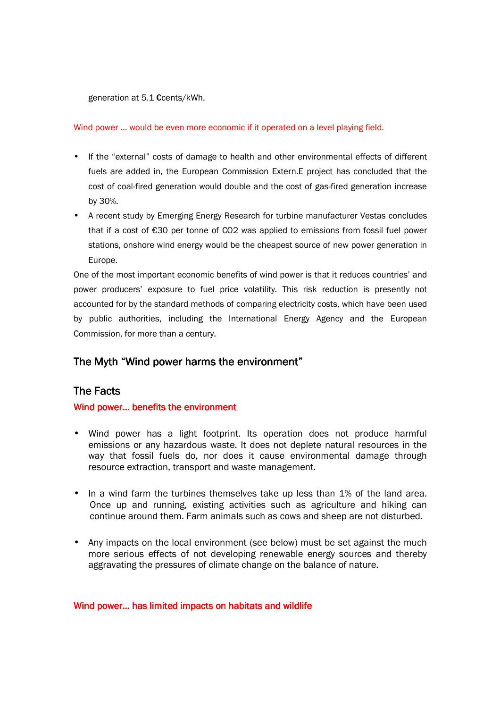generation at 5.1 €cents/kWh.

Wind power … would be even more economic if it operated on a level playing field.

- If the "external" costs of damage to health and other environmental effects of different fuels are added in, the European Commission Extern.E project has concluded that the cost of coal-fired generation would double and the cost of gas-fired generation increase by 30%.
- A recent study by Emerging Energy Research for turbine manufacturer Vestas concludes that if a cost of €30 per tonne of CO2 was applied to emissions from fossil fuel power stations, onshore wind energy would be the cheapest source of new power generation in Europe.

One of the most important economic benefits of wind power is that it reduces countries' and power producers' exposure to fuel price volatility. This risk reduction is presently not accounted for by the standard methods of comparing electricity costs, which have been used by public authorities, including the International Energy Agency and the European Commission, for more than a century.

# The Myth "Wind power harms the environment"

# **The Facts**

### Wind power... benefits the environment

- Wind power has a light footprint. Its operation does not produce harmful emissions or any hazardous waste. It does not deplete natural resources in the way that fossil fuels do, nor does it cause environmental damage through resource extraction, transport and waste management.
- In a wind farm the turbines themselves take up less than 1% of the land area. Once up and running, existing activities such as agriculture and hiking can continue around them. Farm animals such as cows and sheep are not disturbed.
- Any impacts on the local environment (see below) must be set against the much more serious effects of not developing renewable energy sources and thereby aggravating the pressures of climate change on the balance of nature.

#### Wind power… has limited impacts on habitats and wildlife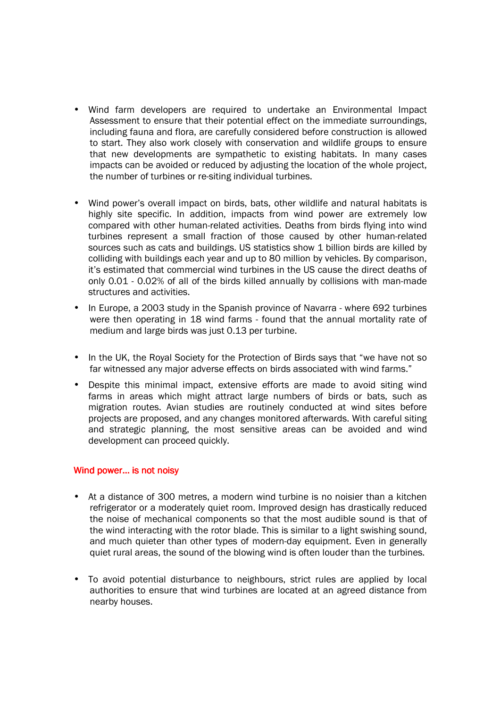- Wind farm developers are required to undertake an Environmental Impact Assessment to ensure that their potential effect on the immediate surroundings, including fauna and flora, are carefully considered before construction is allowed to start. They also work closely with conservation and wildlife groups to ensure that new developments are sympathetic to existing habitats. In many cases impacts can be avoided or reduced by adjusting the location of the whole project, the number of turbines or re-siting individual turbines.
- Wind power's overall impact on birds, bats, other wildlife and natural habitats is highly site specific. In addition, impacts from wind power are extremely low compared with other human-related activities. Deaths from birds flying into wind turbines represent a small fraction of those caused by other human-related sources such as cats and buildings. US statistics show 1 billion birds are killed by colliding with buildings each year and up to 80 million by vehicles. By comparison, it's estimated that commercial wind turbines in the US cause the direct deaths of only 0.01 - 0.02% of all of the birds killed annually by collisions with man-made structures and activities.
- In Europe, a 2003 study in the Spanish province of Navarra where 692 turbines were then operating in 18 wind farms - found that the annual mortality rate of medium and large birds was just 0.13 per turbine.
- In the UK, the Royal Society for the Protection of Birds says that "we have not so far witnessed any major adverse effects on birds associated with wind farms."
- Despite this minimal impact, extensive efforts are made to avoid siting wind farms in areas which might attract large numbers of birds or bats, such as migration routes. Avian studies are routinely conducted at wind sites before projects are proposed, and any changes monitored afterwards. With careful siting and strategic planning, the most sensitive areas can be avoided and wind development can proceed quickly.

#### Wind power... is not noisy

- At a distance of 300 metres, a modern wind turbine is no noisier than a kitchen refrigerator or a moderately quiet room. Improved design has drastically reduced the noise of mechanical components so that the most audible sound is that of the wind interacting with the rotor blade. This is similar to a light swishing sound, and much quieter than other types of modern-day equipment. Even in generally quiet rural areas, the sound of the blowing wind is often louder than the turbines.
- To avoid potential disturbance to neighbours, strict rules are applied by local authorities to ensure that wind turbines are located at an agreed distance from nearby houses.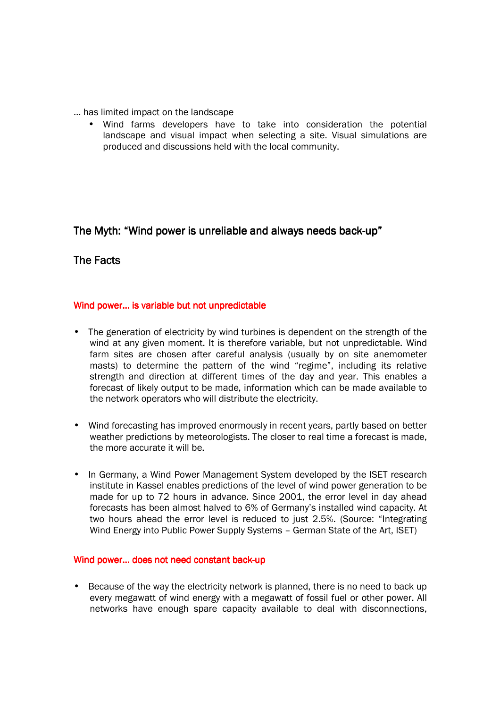- … has limited impact on the landscape
	- Wind farms developers have to take into consideration the potential landscape and visual impact when selecting a site. Visual simulations are produced and discussions held with the local community.

# The Myth: "Wind power is unreliable and always needs back-up"

## The Facts

### Wind power... is variable but not unpredictable

- The generation of electricity by wind turbines is dependent on the strength of the wind at any given moment. It is therefore variable, but not unpredictable. Wind farm sites are chosen after careful analysis (usually by on site anemometer masts) to determine the pattern of the wind "regime", including its relative strength and direction at different times of the day and year. This enables a forecast of likely output to be made, information which can be made available to the network operators who will distribute the electricity.
- Wind forecasting has improved enormously in recent years, partly based on better weather predictions by meteorologists. The closer to real time a forecast is made, the more accurate it will be.
- In Germany, a Wind Power Management System developed by the ISET research institute in Kassel enables predictions of the level of wind power generation to be made for up to 72 hours in advance. Since 2001, the error level in day ahead forecasts has been almost halved to 6% of Germany's installed wind capacity. At two hours ahead the error level is reduced to just 2.5%. (Source: "Integrating Wind Energy into Public Power Supply Systems - German State of the Art, ISET)

#### Wind power... does not need constant back-up

• Because of the way the electricity network is planned, there is no need to back up every megawatt of wind energy with a megawatt of fossil fuel or other power. All networks have enough spare capacity available to deal with disconnections,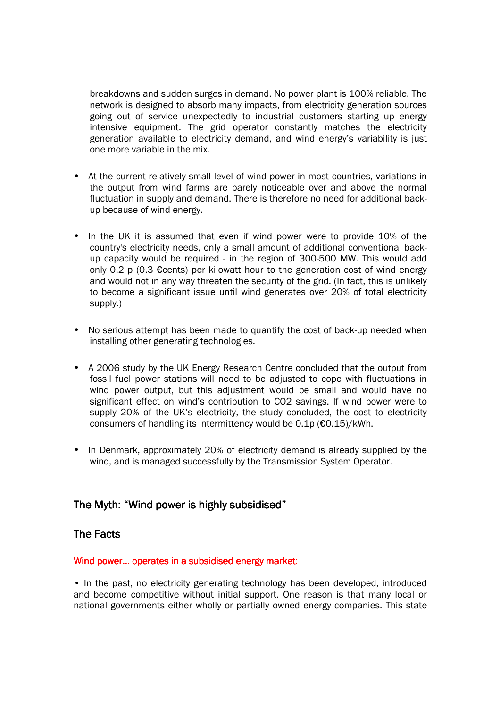breakdowns and sudden surges in demand. No power plant is 100% reliable. The network is designed to absorb many impacts, from electricity generation sources going out of service unexpectedly to industrial customers starting up energy intensive equipment. The grid operator constantly matches the electricity generation available to electricity demand, and wind energy's variability is just one more variable in the mix.

- At the current relatively small level of wind power in most countries, variations in the output from wind farms are barely noticeable over and above the normal fluctuation in supply and demand. There is therefore no need for additional backup because of wind energy.
- In the UK it is assumed that even if wind power were to provide 10% of the country's electricity needs, only a small amount of additional conventional backup capacity would be required - in the region of 300-500 MW. This would add only 0.2 p (0.3  $\epsilon$ cents) per kilowatt hour to the generation cost of wind energy and would not in any way threaten the security of the grid. (In fact, this is unlikely to become a significant issue until wind generates over 20% of total electricity supply.)
- No serious attempt has been made to quantify the cost of back-up needed when installing other generating technologies.
- A 2006 study by the UK Energy Research Centre concluded that the output from fossil fuel power stations will need to be adjusted to cope with fluctuations in wind power output, but this adjustment would be small and would have no significant effect on wind's contribution to CO2 savings. If wind power were to supply 20% of the UK's electricity, the study concluded, the cost to electricity consumers of handling its intermittency would be 0.1p (€0.15)/kWh.
- In Denmark, approximately 20% of electricity demand is already supplied by the wind, and is managed successfully by the Transmission System Operator.

## The Myth: "Wind power is highly subsidised"

### The Facts

#### Wind power... operates in a subsidised energy market:

• In the past, no electricity generating technology has been developed, introduced and become competitive without initial support. One reason is that many local or national governments either wholly or partially owned energy companies. This state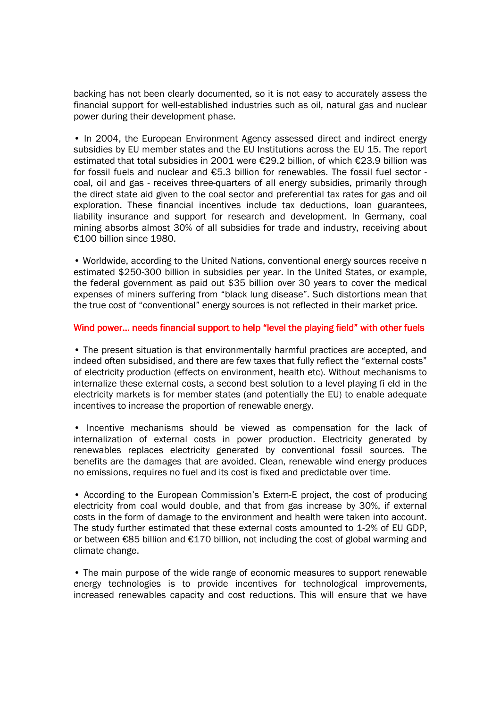backing has not been clearly documented, so it is not easy to accurately assess the financial support for well-established industries such as oil, natural gas and nuclear power during their development phase.

• In 2004, the European Environment Agency assessed direct and indirect energy subsidies by EU member states and the EU Institutions across the EU 15. The report estimated that total subsidies in 2001 were €29.2 billion, of which €23.9 billion was for fossil fuels and nuclear and €5.3 billion for renewables. The fossil fuel sector coal, oil and gas - receives three-quarters of all energy subsidies, primarily through the direct state aid given to the coal sector and preferential tax rates for gas and oil exploration. These financial incentives include tax deductions, loan guarantees, liability insurance and support for research and development. In Germany, coal mining absorbs almost 30% of all subsidies for trade and industry, receiving about €100 billion since 1980.

• Worldwide, according to the United Nations, conventional energy sources receive n estimated \$250-300 billion in subsidies per year. In the United States, or example, the federal government as paid out \$35 billion over 30 years to cover the medical expenses of miners suffering from "black lung disease". Such distortions mean that the true cost of "conventional" energy sources is not reflected in their market price.

#### Wind power... needs financial support to help "level the playing field" with other fuels

• The present situation is that environmentally harmful practices are accepted, and indeed often subsidised, and there are few taxes that fully reflect the "external costs" of electricity production (effects on environment, health etc). Without mechanisms to internalize these external costs, a second best solution to a level playing fi eld in the electricity markets is for member states (and potentially the EU) to enable adequate incentives to increase the proportion of renewable energy.

• Incentive mechanisms should be viewed as compensation for the lack of internalization of external costs in power production. Electricity generated by renewables replaces electricity generated by conventional fossil sources. The benefits are the damages that are avoided. Clean, renewable wind energy produces no emissions, requires no fuel and its cost is fixed and predictable over time.

• According to the European Commission's Extern-E project, the cost of producing electricity from coal would double, and that from gas increase by 30%, if external costs in the form of damage to the environment and health were taken into account. The study further estimated that these external costs amounted to 1-2% of EU GDP, or between €85 billion and €170 billion, not including the cost of global warming and climate change.

• The main purpose of the wide range of economic measures to support renewable energy technologies is to provide incentives for technological improvements, increased renewables capacity and cost reductions. This will ensure that we have